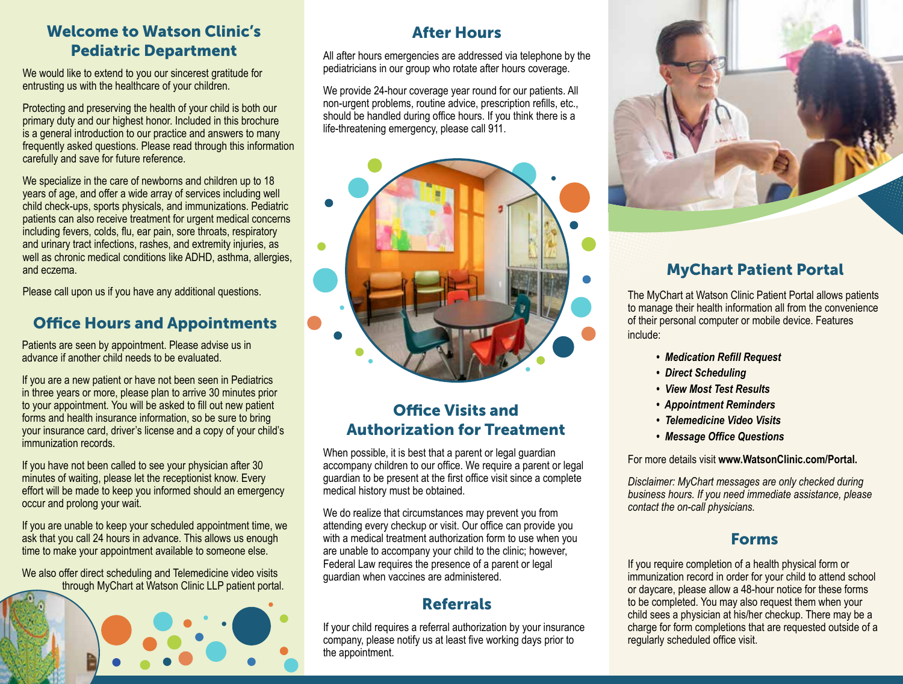#### Welcome to Watson Clinic's Pediatric Department

We would like to extend to you our sincerest gratitude for entrusting us with the healthcare of your children.

Protecting and preserving the health of your child is both our primary duty and our highest honor. Included in this brochure is a general introduction to our practice and answers to many frequently asked questions. Please read through this information carefully and save for future reference.

We specialize in the care of newborns and children up to 18 years of age, and offer a wide array of services including well child check-ups, sports physicals, and immunizations. Pediatric patients can also receive treatment for urgent medical concerns including fevers, colds, flu, ear pain, sore throats, respiratory and urinary tract infections, rashes, and extremity injuries, as well as chronic medical conditions like ADHD, asthma, allergies, and eczema.

Please call upon us if you have any additional questions.

#### Office Hours and Appointments

Patients are seen by appointment. Please advise us in advance if another child needs to be evaluated.

If you are a new patient or have not been seen in Pediatrics in three years or more, please plan to arrive 30 minutes prior to your appointment. You will be asked to fill out new patient forms and health insurance information, so be sure to bring your insurance card, driver's license and a copy of your child's immunization records.

If you have not been called to see your physician after 30 minutes of waiting, please let the receptionist know. Every effort will be made to keep you informed should an emergency occur and prolong your wait.

If you are unable to keep your scheduled appointment time, we ask that you call 24 hours in advance. This allows us enough time to make your appointment available to someone else.

We also offer direct scheduling and Telemedicine video visits through MyChart at Watson Clinic LLP patient portal.



#### After Hours

All after hours emergencies are addressed via telephone by the pediatricians in our group who rotate after hours coverage.

We provide 24-hour coverage year round for our patients. All non-urgent problems, routine advice, prescription refills, etc., should be handled during office hours. If you think there is a life-threatening emergency, please call 911.



### Office Visits and Authorization for Treatment

When possible, it is best that a parent or legal guardian accompany children to our office. We require a parent or legal guardian to be present at the first office visit since a complete medical history must be obtained.

We do realize that circumstances may prevent you from attending every checkup or visit. Our office can provide you with a medical treatment authorization form to use when you are unable to accompany your child to the clinic; however, Federal Law requires the presence of a parent or legal guardian when vaccines are administered.

#### Referrals

If your child requires a referral authorization by your insurance company, please notify us at least five working days prior to the appointment.



## MyChart Patient Portal

The MyChart at Watson Clinic Patient Portal allows patients to manage their health information all from the convenience of their personal computer or mobile device. Features include:

- *Medication Refill Request*
- *Direct Scheduling*
- *View Most Test Results*
- *Appointment Reminders*
- *Telemedicine Video Visits*
- *Message Office Questions*

For more details visit **www.WatsonClinic.com/Portal.**

*Disclaimer: MyChart messages are only checked during business hours. If you need immediate assistance, please contact the on-call physicians.*

#### Forms

If you require completion of a health physical form or immunization record in order for your child to attend school or daycare, please allow a 48-hour notice for these forms to be completed. You may also request them when your child sees a physician at his/her checkup. There may be a charge for form completions that are requested outside of a regularly scheduled office visit.